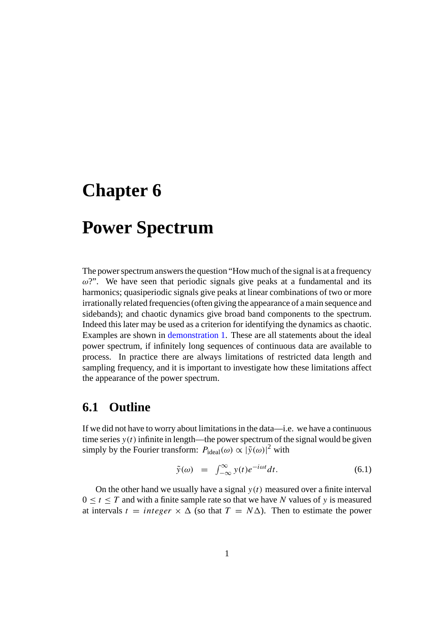# **Chapter 6**

## **Power Spectrum**

The power spectrum answers the question "How much of the signal is at a frequency  $\omega$ ?". We have seen that periodic signals give peaks at a fundamental and its harmonics; quasiperiodic signals give peaks at linear combinations of two or more irrationally related frequencies (often giving the appearance of a main sequence and sidebands); and chaotic dynamics give broad band components to the spectrum. Indeed this later may be used as a criterion for identifying the dynamics as chaotic. Examples are shown in [demonstration 1.](Demos.html) These are all statements about the ideal power spectrum, if infinitely long sequences of continuous data are available to process. In practice there are always limitations of restricted data length and sampling frequency, and it is important to investigate how these limitations affect the appearance of the power spectrum.

### **6.1 Outline**

If we did not have to worry about limitations in the data—i.e. we have a continuous time series  $y(t)$  infinite in length—the power spectrum of the signal would be given simply by the Fourier transform:  $P_{\text{ideal}}(\omega) \propto |\tilde{y}(\omega)|^2$  with

$$
\tilde{y}(\omega) = \int_{-\infty}^{\infty} y(t) e^{-i\omega t} dt.
$$
\n(6.1)

On the other hand we usually have a signal  $y(t)$  measured over a finite interval  $0 \le t \le T$  and with a finite sample rate so that we have N values of y is measured at intervals  $t = integer \times \Delta$  (so that  $T = N\Delta$ ). Then to estimate the power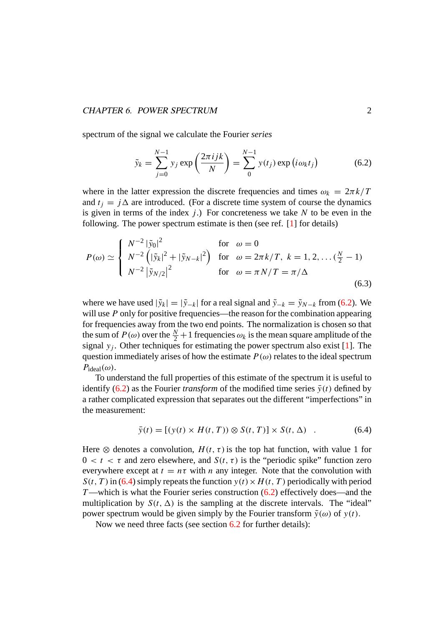#### *CHAPTER 6. POWER SPECTRUM* 2

spectrum of the signal we calculate the Fourier *series*

$$
\tilde{y}_k = \sum_{j=0}^{N-1} y_j \exp\left(\frac{2\pi i jk}{N}\right) = \sum_{j=0}^{N-1} y(t_j) \exp(i\omega_k t_j)
$$
(6.2)

where in the latter expression the discrete frequencies and times  $\omega_k = 2\pi k/T$ and  $t_i = j\Delta$  are introduced. (For a discrete time system of course the dynamics is given in terms of the index  $j$ .) For concreteness we take  $N$  to be even in the following. The power spectrum estimate is then (see ref. [\[1\]](#page-6-0) for details)

$$
P(\omega) \simeq \begin{cases} N^{-2} |\tilde{y}_0|^2 & \text{for } \omega = 0\\ N^{-2} (|\tilde{y}_k|^2 + |\tilde{y}_{N-k}|^2) & \text{for } \omega = 2\pi k/T, \ k = 1, 2, \dots (\frac{N}{2} - 1)\\ N^{-2} |\tilde{y}_{N/2}|^2 & \text{for } \omega = \pi N/T = \pi/\Delta \end{cases}
$$
(6.3)

where we have used  $|\tilde{y}_k| = |\tilde{y}_{-k}|$  for a real signal and  $\tilde{y}_{-k} = \tilde{y}_{N-k}$  from (6.2). We will use  $P$  only for positive frequencies—the reason for the combination appearing for frequencies away from the two end points. The normalization is chosen so that the sum of  $P(\omega)$  over the  $\frac{N}{2}+1$  frequencies  $\omega_k$  is the mean square amplitude of the signal  $y_i$ . Other techniques for estimating the power spectrum also exist [\[1\]](#page-6-0). The question immediately arises of how the estimate  $P(\omega)$  relates to the ideal spectrum  $P_{\text{ideal}}(\omega)$ .

To understand the full properties of this estimate of the spectrum it is useful to identify (6.2) as the Fourier *transform* of the modified time series  $\bar{y}(t)$  defined by a rather complicated expression that separates out the different "imperfections" in the measurement:

$$
\bar{y}(t) = [(y(t) \times H(t, T)) \otimes S(t, T)] \times S(t, \Delta) \quad . \tag{6.4}
$$

Here  $\otimes$  denotes a convolution,  $H(t, \tau)$  is the top hat function, with value 1 for  $0 < t < \tau$  and zero elsewhere, and  $S(t, \tau)$  is the "periodic spike" function zero everywhere except at  $t = n\tau$  with n any integer. Note that the convolution with  $S(t, T)$  in (6.4) simply repeats the function  $y(t) \times H(t, T)$  periodically with period T—which is what the Fourier series construction  $(6.2)$  effectively does—and the multiplication by  $S(t, \Delta)$  is the sampling at the discrete intervals. The "ideal" power spectrum would be given simply by the Fourier transform  $\tilde{y}(\omega)$  of  $y(t)$ .

Now we need three facts (see section [6.2](#page-4-0) for further details):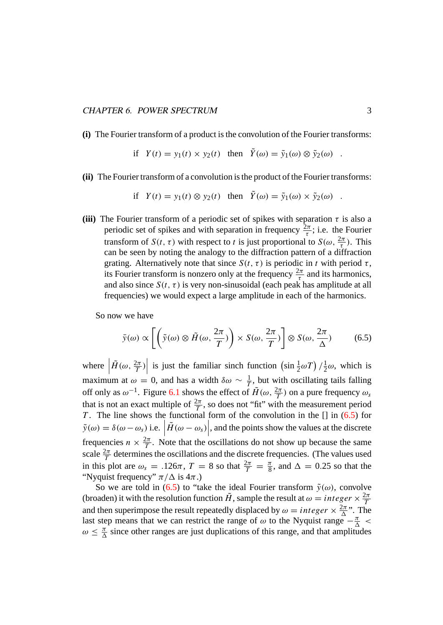#### *CHAPTER 6. POWER SPECTRUM* 3

**(i)** The Fourier transform of a product is the convolution of the Fourier transforms:

if 
$$
Y(t) = y_1(t) \times y_2(t)
$$
 then  $Y(\omega) = \tilde{y}_1(\omega) \otimes \tilde{y}_2(\omega)$ .

**(ii)** The Fourier transform of a convolution is the product of the Fourier transforms:

if 
$$
Y(t) = y_1(t) \otimes y_2(t)
$$
 then  $\tilde{Y}(\omega) = \tilde{y}_1(\omega) \times \tilde{y}_2(\omega)$ .

**(iii)** The Fourier transform of a periodic set of spikes with separation  $\tau$  is also a periodic set of spikes and with separation in frequency  $\frac{2\pi}{\tau}$ ; i.e. the Fourier transform of  $S(t, \tau)$  with respect to t is just proportional to  $S(\omega, \frac{2\pi}{\tau})$ . This can be seen by noting the analogy to the diffraction pattern of a diffraction grating. Alternatively note that since  $S(t, \tau)$  is periodic in t with period  $\tau$ , its Fourier transform is nonzero only at the frequency  $\frac{2\pi}{\tau}$  and its harmonics, and also since  $S(t, \tau)$  is very non-sinusoidal (each peak has amplitude at all frequencies) we would expect a large amplitude in each of the harmonics.

So now we have

$$
\bar{y}(\omega) \propto \left[ \left( \tilde{y}(\omega) \otimes \tilde{H}(\omega, \frac{2\pi}{T}) \right) \times S(\omega, \frac{2\pi}{T}) \right] \otimes S(\omega, \frac{2\pi}{\Delta}) \tag{6.5}
$$

where  $\left| \tilde{H}(\omega, \frac{2\pi}{T}) \right|$  is just the familiar sinch function  $\left( \sin \frac{1}{2} \omega T \right) / \frac{1}{2} \omega$ , which is maximum at  $\omega = 0$ , and has a width  $\delta \omega \sim \frac{1}{T}$ , but with oscillating tails falling off only as  $\omega^{-1}$ . Figure [6.1](#page-3-0) shows the effect of  $\tilde{H}(\omega, \frac{2\pi}{T})$  on a pure frequency  $\omega_s$ that is not an exact multiple of  $\frac{2\pi}{T}$ , so does not "fit" with the measurement period T. The line shows the functional form of the convolution in the  $[]$  in (6.5) for  $\tilde{y}(\omega) = \delta(\omega - \omega_s)$  i.e.  $\left| \tilde{H}(\omega - \omega_s) \right|$ , and the points show the values at the discrete frequencies  $n \times \frac{2\pi}{T}$ . Note that the oscillations do not show up because the same scale  $\frac{2\pi}{T}$  determines the oscillations and the discrete frequencies. (The values used in this plot are  $\omega_s = .126\pi$ ,  $T = 8$  so that  $\frac{2\pi}{T} = \frac{\pi}{8}$ , and  $\Delta = 0.25$  so that the "Nyquist frequency"  $\pi/\Delta$  is  $4\pi$ .)

So we are told in (6.5) to "take the ideal Fourier transform  $\tilde{y}(\omega)$ , convolve (broaden) it with the resolution function  $\tilde{H}$ , sample the result at  $\omega = integer \times \frac{2\pi}{T}$ and then superimpose the result repeatedly displaced by  $\omega = integer \times \frac{2\pi}{\Delta}$ . The last step means that we can restrict the range of  $\omega$  to the Nyquist range  $-\frac{\pi}{\Delta}$  <  $\omega \leq \frac{\pi}{\Delta}$  since other ranges are just duplications of this range, and that amplitudes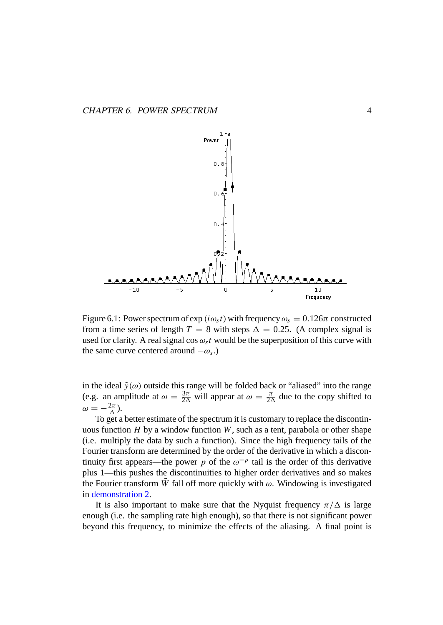<span id="page-3-0"></span>

Figure 6.1: Power spectrum of  $\exp(i\omega_s t)$  with frequency  $\omega_s = 0.126\pi$  constructed from a time series of length  $T = 8$  with steps  $\Delta = 0.25$ . (A complex signal is used for clarity. A real signal cos  $\omega_s t$  would be the superposition of this curve with the same curve centered around  $-\omega_s$ .)

in the ideal  $\tilde{y}(\omega)$  outside this range will be folded back or "aliased" into the range (e.g. an amplitude at  $\omega = \frac{3\pi}{2\Delta}$  will appear at  $\omega = \frac{\pi}{2\Delta}$  due to the copy shifted to  $\omega=-\frac{2\pi}{\Delta}$ ).

To get a better estimate of the spectrum it is customary to replace the discontinuous function  $H$  by a window function  $W$ , such as a tent, parabola or other shape (i.e. multiply the data by such a function). Since the high frequency tails of the Fourier transform are determined by the order of the derivative in which a discontinuity first appears—the power p of the  $\omega^{-p}$  tail is the order of this derivative plus 1—this pushes the discontinuities to higher order derivatives and so makes the Fourier transform W fall off more quickly with  $\omega$ . Windowing is investigated in [demonstration 2.](Demo2.html)

It is also important to make sure that the Nyquist frequency  $\pi/\Delta$  is large enough (i.e. the sampling rate high enough), so that there is not significant power beyond this frequency, to minimize the effects of the aliasing. A final point is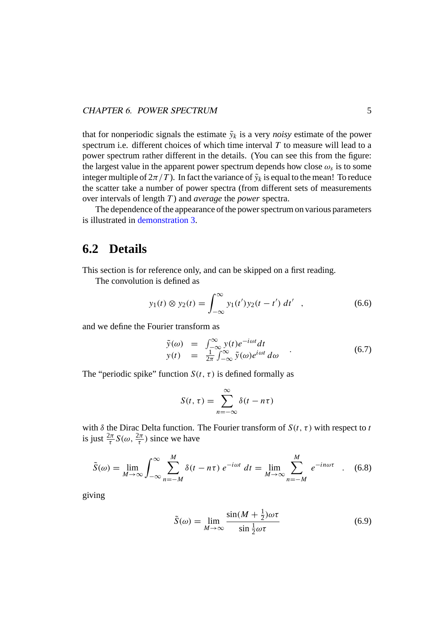<span id="page-4-0"></span>that for nonperiodic signals the estimate  $\tilde{y}_k$  is a very *noisy* estimate of the power spectrum i.e. different choices of which time interval  $T$  to measure will lead to a power spectrum rather different in the details. (You can see this from the figure: the largest value in the apparent power spectrum depends how close  $\omega_s$  is to some integer multiple of  $2\pi/T$ ). In fact the variance of  $\tilde{y}_k$  is equal to the mean! To reduce the scatter take a number of power spectra (from different sets of measurements over intervals of length T ) and *average* the *power* spectra.

The dependence of the appearance of the power spectrum on various parameters is illustrated in [demonstration 3.](Demo3.html)

## **6.2 Details**

This section is for reference only, and can be skipped on a first reading.

The convolution is defined as

$$
y_1(t) \otimes y_2(t) = \int_{-\infty}^{\infty} y_1(t') y_2(t - t') dt' , \qquad (6.6)
$$

and we define the Fourier transform as

$$
\tilde{y}(\omega) = \int_{-\infty}^{\infty} y(t)e^{-i\omega t}dt
$$
  
\n
$$
y(t) = \frac{1}{2\pi} \int_{-\infty}^{\infty} \tilde{y}(\omega)e^{i\omega t} d\omega
$$
\n(6.7)

The "periodic spike" function  $S(t, \tau)$  is defined formally as

$$
S(t,\tau) = \sum_{n=-\infty}^{\infty} \delta(t - n\tau)
$$

with  $\delta$  the Dirac Delta function. The Fourier transform of  $S(t, \tau)$  with respect to t is just  $\frac{2\pi}{\tau}S(\omega, \frac{2\pi}{\tau})$  since we have

$$
\tilde{S}(\omega) = \lim_{M \to \infty} \int_{-\infty}^{\infty} \sum_{n=-M}^{M} \delta(t - n\tau) e^{-i\omega t} dt = \lim_{M \to \infty} \sum_{n=-M}^{M} e^{-in\omega \tau} .
$$
 (6.8)

giving

$$
\tilde{S}(\omega) = \lim_{M \to \infty} \frac{\sin(M + \frac{1}{2})\omega \tau}{\sin \frac{1}{2}\omega \tau}
$$
\n(6.9)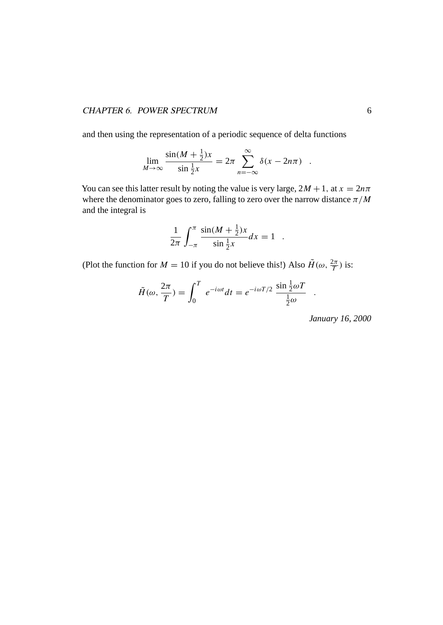#### *CHAPTER 6. POWER SPECTRUM* 6

and then using the representation of a periodic sequence of delta functions

$$
\lim_{M \to \infty} \frac{\sin(M + \frac{1}{2})x}{\sin \frac{1}{2}x} = 2\pi \sum_{n = -\infty}^{\infty} \delta(x - 2n\pi) .
$$

You can see this latter result by noting the value is very large,  $2M + 1$ , at  $x = 2n\pi$ where the denominator goes to zero, falling to zero over the narrow distance  $\pi/M$ and the integral is

$$
\frac{1}{2\pi} \int_{-\pi}^{\pi} \frac{\sin(M + \frac{1}{2})x}{\sin \frac{1}{2}x} dx = 1.
$$

(Plot the function for  $M = 10$  if you do not believe this!) Also  $\tilde{H}(\omega, \frac{2\pi}{T})$  is:

$$
\tilde{H}(\omega, \frac{2\pi}{T}) = \int_0^T e^{-i\omega t} dt = e^{-i\omega T/2} \frac{\sin \frac{1}{2}\omega T}{\frac{1}{2}\omega} .
$$

*January 16, 2000*